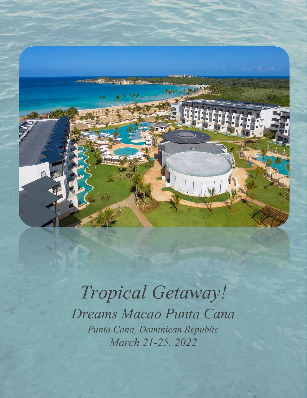

## *Tropical Getaway! Dreams Macao Punta Cana Punta Cana, Dominican Republic March 21-25, 2022*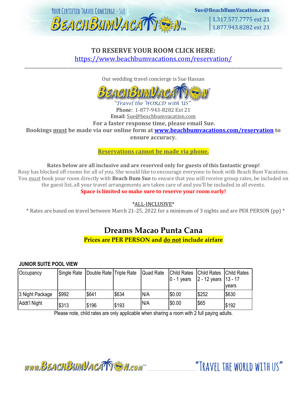

### **TO RESERVE YOUR ROOM CLICK HERE:** <https://www.beachbumvacations.com/reservation/>

Our wedding travel concierge is Sue Hassan

\_\_\_\_\_\_\_\_\_\_\_\_\_\_\_\_\_\_\_\_\_\_\_\_\_\_\_\_\_\_\_\_\_\_\_\_\_\_\_\_\_\_\_\_\_\_\_\_\_\_\_\_\_\_\_\_\_\_\_\_\_\_\_\_\_\_\_\_\_\_\_\_\_\_\_\_\_\_\_\_\_\_\_\_\_\_\_\_\_\_\_\_\_\_\_\_\_\_\_\_\_\_\_\_\_\_\_\_\_\_\_\_\_\_\_\_\_\_\_\_\_\_\_\_\_\_

#### 'Travel the WORLD with US' Phone: 1-877-943-8282 Ext 21 Email: Sue@beachbumvacation.com **For a faster response time, please email Sue. Bookings must be made via our online form at [www.beachbumvacations.com/reservation](http://www.beachbumvacations.com/reservation) to**

**ensure accuracy.** 

**Reservations cannot be made via phone.**

**Rates below are all inclusive and are reserved only for guests of this fantastic group!**

Rosy has blocked off rooms for all of you. She would like to encourage everyone to book with Beach Bum Vacations. You must book your room directly with **Beach Bum Sue** to ensure that you will receive group rates, be included on the guest list, all your travel arrangements are taken care of and you'll be included in all events.

**Space is limited so make sure to reserve your room early!**

\*ALL-INCLUSIVE\*

\* Rates are based on travel between March 21-25, 2022 for a minimum of 3 nights and are PER PERSON (pp) \*

## **Dreams Macao Punta Cana**

**Prices are PER PERSON and do not include airfare**

#### **JUNIOR SUITE POOL VIEW**

| Occupancy       |       | Single Rate   Double Rate   Triple Rate |       | Quad Rate | <b>Child Rates</b><br>$10 - 1$ years | <b>Child Rates</b><br>$ 2 - 12$ years $ 13 - 17$ | <b>Child Rates</b><br>vears |
|-----------------|-------|-----------------------------------------|-------|-----------|--------------------------------------|--------------------------------------------------|-----------------------------|
| 3 Night Package | \$992 | \$641                                   | \$634 | N/A       | \$0.00                               | \$252                                            | \$630                       |
| Addt'l Night    | \$313 | \$196                                   | \$193 | N/A       | \$0.00                               | \$65                                             | \$192                       |

Please note, child rates are only applicable when sharing a room with 2 full paying adults.

www.BEACHBUMVACATTE M.com

"TRAVFI THE WORLD WITH US"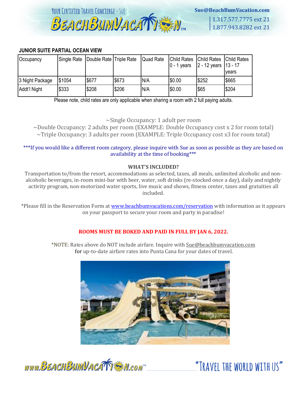

1.317.577.7775 ext 21 1.877.943.8282 ext 21

#### **JUNIOR SUITE PARTIAL OCEAN VIEW**

| Occupancy       | Single Rate | Double Rate Triple Rate |       | Quad Rate | <b>Child Rates</b><br>$\overline{0}$ - 1 years | <b>Child Rates</b><br>$ 2 - 12$ years $ 13 - 17$ | <b>Child Rates</b><br>vears |
|-----------------|-------------|-------------------------|-------|-----------|------------------------------------------------|--------------------------------------------------|-----------------------------|
| 3 Night Package | \$1054      | \$677                   | \$673 | N/A       | \$0.00                                         | \$252                                            | \$665                       |
| Addt'l Night    | \$333       | \$208                   | \$206 | N/A       | \$0.00                                         | \$65                                             | \$204                       |

Please note, child rates are only applicable when sharing a room with 2 full paying adults.

~Single Occupancy: 1 adult per room

~Double Occupancy: 2 adults per room (EXAMPLE: Double Occupancy cost x 2 for room total)  $\sim$ Triple Occupancy: 3 adults per room (EXAMPLE: Triple Occupancy cost x3 for room total)

#### \*\*\*If you would like a different room category, please inquire with Sue as soon as possible as they are based on availability at the time of booking\*\*\*

#### **WHAT'S INCLUDED?**

Transportation to/from the resort, accommodations as selected, taxes, all meals, unlimited alcoholic and nonalcoholic beverages, in-room mini-bar with beer, water, soft drinks (re-stocked once a day), daily and nightly activity program, non-motorized water sports, live music and shows, fitness center, taxes and gratuities all included.

\*Please fill in the Reservation Form at [www.beachbumvacations.com/reservation](http://www.beachbumvacations.com/reservation) with information as it appears on your passport to secure your room and party in paradise!

#### **ROOMS MUST BE BOKED AND PAID IN FULL BY JAN 6, 2022.**

\*NOTE: Rates above do NOT include airfare. Inquire with Sue@beachbumvacation.com for up-to-date airfare rates into Punta Cana for your dates of travel.



www.BEACHBUMVACATTEN.com

"TRAVEL THE WORLD WITH US"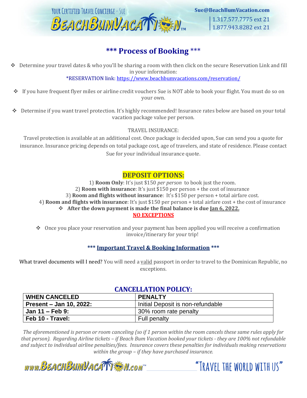

## **\*\*\* Process of Booking** \*\*\*

❖ Determine your travel dates & who you'll be sharing a room with then click on the secure Reservation Link and fill in your information:

\*RESERVATION link:<https://www.beachbumvacations.com/reservation/>

- ❖ If you have frequent flyer miles or airline credit vouchers Sue is NOT able to book your flight. You must do so on your own.
- ❖ Determine if you want travel protection. It's highly recommended! Insurance rates below are based on your total vacation package value per person.

#### TRAVEL INSURANCE:

Travel protection is available at an additional cost. Once package is decided upon, Sue can send you a quote for insurance. Insurance pricing depends on total package cost, age of travelers, and state of residence. Please contact Sue for your individual insurance quote.

#### **DEPOSIT OPTIONS:**

1) **Room Only**: It's just \$150 *per person* to book just the room. 2) **Room with insurance**: It's just \$150 per person + the cost of insurance 3) **Room and flights without insurance**: It's \$150 per person + total airfare cost. 4) **Room and flights with insurance**: It's just \$150 per person + total airfare cost + the cost of insurance ❖ **After the down payment is made the final balance is due Jan 6, 2022. NO EXCEPTIONS**

❖ Once you place your reservation and your payment has been applied you will receive a confirmation invoice/itinerary for your trip!

#### **\*\*\* Important Travel & Booking Information \*\*\***

What travel documents will I need? You will need a valid passport in order to travel to the Dominican Republic, no exceptions.

#### **CANCELLATION POLICY:**

| <b>WHEN CANCELED</b>    | <b>PENALTY</b>                    |  |  |  |
|-------------------------|-----------------------------------|--|--|--|
| Present – Jan 10, 2022: | Initial Deposit is non-refundable |  |  |  |
| ∣ Jan 11 – Feb 9:       | 30% room rate penalty             |  |  |  |
| Feb 10 - Travel:        | <b>Full penalty</b>               |  |  |  |

*The aforementioned is person or room canceling (so if 1 person within the room cancels these same rules apply for that person). Regarding Airline tickets – if Beach Bum Vacation booked your tickets - they are 100% not refundable and subject to individual airline penalties/fees. Insurance covers these penalties for individuals making reservations within the group – if they have purchased insurance.* 

"TRAVEL THE WORLD WITH US"

www.BEACHBUMVACATTEN.com